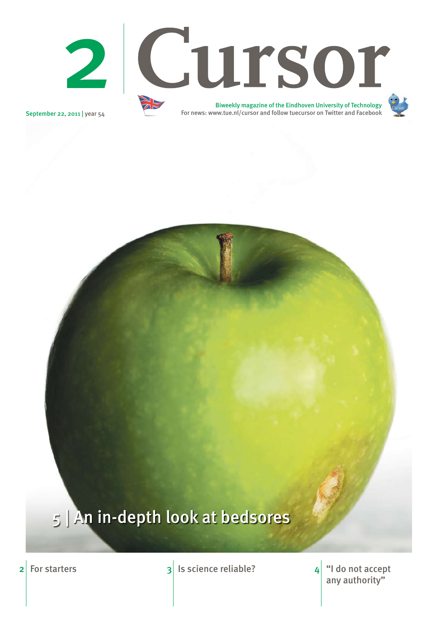September 22, 2011 | year 54

2 For starters 3 Is science reliable? "I do not accept

any authority" 4



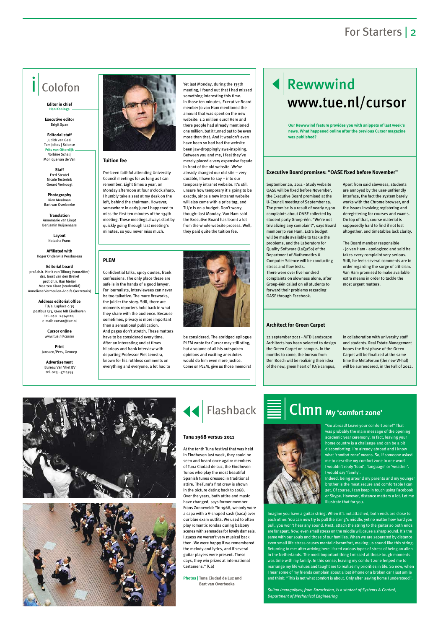## For Starters | 2



**Tuition fee**

I've been faithful attending University Council meetings for as long as I can remember. Eight times a year, on Monday afternoon at four o'clock sharp, I humbly take a seat at my desk on the left, behind the chairman. However, somewhere in early June I happened to miss the first ten minutes of the 134th meeting. These meetings always start by quickly going through last meeting's minutes, so you never miss much.

Yet last Monday, during the 135th meeting, I found out that I had missed something interesting this time. In those ten minutes, Executive Board



member Jo van Ham mentioned the amount that was spent on the new website: 1.2 million euro! Here and there people had already mentioned one million, but it turned out to be even more than that. And it wouldn't even have been so bad had the website been jaw-droppingly awe-inspiring. Between you and me, I feel they've merely placed a very expensive façade in front of the old website. We've already changed our old site – very durable, I have to say – into our temporary intranet website. It's still unsure how temporary it's going to be exactly, since a new intranet website will also come with a price tag, and TU/e is on a budget. Don't worry, though: last Monday, Van Ham said the Executive Board has learnt a lot from the whole website process. Well,

they paid quite the tuition fee.

# Rewwwind www.tue.nl/cursor

# Colofon

**Editor in chief Han Konings**

**Executive editor**  Brigit Span

**Editorial staff** Judith van Gaal Tom Jeltes | Science **Frits van Otterdijk** Norbine Schalij Monique van de Ven

**Staff**  Fred Steutel Nicole Testerink Gerard Verhoogt

**Photography**  Rien Meulman Bart van Overbeeke

**Translation** Annemarie van Limpt Benjamin Ruijsenaars

> **Layout** Natasha Franc

**Affiliated with**  Hoger Onderwijs Persbureau

**Editorial board** prof.dr.ir. Henk van Tilborg (voorzitter) drs. Joost van den Brekel prof.dr.ir. Han Meijer Maarten Klont (studentlid) Anneliese Vermeulen-Adolfs (secretaris)

**Address editorial office** TU/e, Laplace 0.35 postbus 513, 5600 MB Eindhoven tel. 040 - 2474020, e-mail: cursor@tue.nl

> **Cursor online** www.tue.nl/cursor

**Print** Janssen/Pers, Gennep

**Advertisement** Bureau Van Vliet BV tel. 023 - 5714745

21 september 2011 - MTD Landscape Architects has been selected to design the Green Carpet on campus. In the months to come, the bureau from Den Bosch will be realizing their idea of the new, green heart of TU/e campus,

in collaboration with university staff and students. Real Estate Management hopes the first phase of the Green Carpet will be finalized at the same time the MetaForum (the new W-hal) will be surrendered, in the Fall of 2012.





September 20, 2011 - Study website OASE will be fixed before November, the Executive Board promised at the U-Council meeting of September 19. The promise is a result of nearly 2,500 complaints about OASE collected by student party Groep-één. "We're not trivializing any complaint", says Board member Jo van Ham. Extra budget will be made available to tackle the problems, and the Laboratory for Quality Software (LaQuSo) of the Department of Mathematics & Computer Science will be conducting stress and flow tests. There were over five hundred complaints on slowness alone, after Groep-één called on all students to forward their problems regarding OASE through Facebook.

Apart from said slowness, students are annoyed by the user-unfriendly interface, the fact the system barely works with the Chrome browser, and the issues involving registering and deregistering for courses and exams. On top of that, course material is supposedly hard to find if not lost altogether, and timetables lack clarity.

The Board member responsible - Jo van Ham - apologized and said he takes every complaint very serious. Still, he feels several comments are in order regarding the surge of criticism. Van Ham promised to make available extra means in order to tackle the most urgent matters.

#### **Architect for Green Carpet**

#### **Executive Board promises: "OASE fixed before November"**

**Our Rewwwind feature provides you with snippets of last week's news. What happened online after the previous Cursor magazine was published?**

#### **PLEM**

Confidential talks, spicy quotes, frank confessions. The only place these are safe is in the hands of a good lawyer. For journalists, interviewees can never be too talkative. The more fireworks, the juicier the story. Still, there are moments reporters hold back in what they share with the audience. Because sometimes, privacy is more important than a sensational publication. And pages don't stretch. These matters have to be considered every time. After an interesting and at times hilarious and frank interview with departing Professor Piet Lemstra, known for his ruthless comments on everything and everyone, a lot had to

be considered. The abridged epilogue PLEM wrote for Cursor may still sting, but a volume of all his outspoken opinions and exciting anecdotes would do him even more justice. Come on PLEM, give us those memoirs!

At the tenth Tuna festival that was held in Eindhoven last week, they could be seen and heard once again: members of Tuna Ciudad de Luz, the Eindhoven Tunos who play the most beautiful Spanish tunes dressed in traditional attire. TheTuna's first crew is shown in the picture dating back to 1968. Over the years, both attire and music have changed, says former member Frans Zonneveld: "In 1968, we only wore a capa with a V-shaped sash (baca) over our blue exam outfits. We used to often play romantic rondas during balcony scenes with serenades for lovely damsels. I guess we weren't very musical back then. We were happy if we remembered the melody and lyrics, and if several guitar players were present. These days, they win prizes at international Certamens." (CS)

# Flashback  $\equiv$  **Clmn** My 'comfort zone'

**Photos | Tuna Ciudad de Luz and Bart van Overbeeke**



"Go abroad! Leave your comfort zone!" That was probably the main message of the opening academic year ceremony. In fact, leaving your home country is a challenge and can be a bit discomforting. I'm already abroad and I know what 'comfort zone' means. So, if someone asked me to describe my comfort zone in one word I wouldn't reply 'food', 'language' or 'weather'. I would say 'family'. Indeed, being around my parents and my younger



brother is the most secure and comfortable I can get. Of course, I can keep in touch using Facebook or Skype. However, distance matters a lot. Let me illustrate that for you.

Imagine you have a guitar string. When it's not attached, both ends are close to each other. You can now try to pull the string's middle, yet no matter how hard you pull, you won't hear any sound. Next, attach the string to the guitar so both ends are far apart. Now, even small stress on the middle will cause a sharp sound. It's the same with our souls and those of our families. When we are separated by distance even small life stress causes mental discomfort, making us sound like this string. Returning to me: after arriving here I faced various types of stress of being an alien in the Netherlands. The most important thing I missed at those tough moments was time with my family. In this sense, leaving my comfort zone helped me to rearrange my life values and taught me to realize my priorities in life. So now, when I hear some of my friends complain about a lost iPhone or a broken car I just smile and think: "This is not what comfort is about. Only after leaving home I understood".

*Sultan Imangaliyev, from Kazachstan, is a student of Systems & Control, Department of Mechanical Engineering*

#### **Tuna 1968 versus 2011**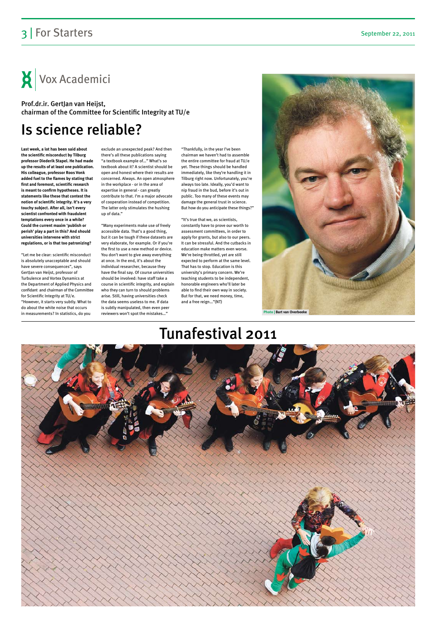## Is science reliable?

## Tunafestival 2011



**Last week, a lot has been said about the scientific misconduct by Tilburg professor Diederik Stapel. He had made up the results of at least one publication. His colleague, professor Roos Vonk added fuel to the flames by stating that first and foremost, scientific research is meant to confirm hypotheses. It is statements like these that contest the notion of scientific integrity. It's a very touchy subject. After all, isn't every scientist confronted with fraudulent temptations every once in a while? Could the current maxim 'publish or perish' play a part in this? And should universities intervene with strict regulations, or is that too patronizing?**

"Let me be clear: scientific misconduct is absolutely unacceptable and should have severe consequences", says GertJan van Heijst, professor of Turbulence and Vortex Dynamics at the Department of Applied Physics and confidant and chairman of the Committee for Scientific Integrity at TU/e. "However, it starts very subtly. What to do about the white noise that occurs in measurements? In statistics, do you

exclude an unexpected peak? And then there's all these publications saying "a textbook example of…" What's so textbook about it? A scientist should be open and honest where their results are concerned. Always. An open atmosphere in the workplace - or in the area of expertise in general - can greatly contribute to that. I'm a major advocate of cooperation instead of competition. The latter only stimulates the hushing up of data."

"Many experiments make use of freely accessible data. That's a good thing, but it can be tough if these datasets are very elaborate, for example. Or if you're the first to use a new method or device. You don't want to give away everything at once. In the end, it's about the individual researcher, because they have the final say. Of course universities should be involved: have staff take a course in scientific integrity, and explain who they can turn to should problems arise. Still, having universities check the data seems useless to me. If data is subtly manipulated, then even peer reviewers won't spot the mistakes…"

"Thankfully, in the year I've been chairman we haven't had to assemble the entire committee for fraud at TU/e yet. These things should be handled immediately, like they're handling it in Tilburg right now. Unfortunately, you're always too late. Ideally, you'd want to nip fraud in the bud, before it's out in public. Too many of these events may damage the general trust in science. But how do you anticipate these things?"

"It's true that we, as scientists, constantly have to prove our worth to assessment committees, in order to apply for grants, but also to our peers. It can be stressful. And the cutbacks in education make matters even worse. We're being throttled, yet are still expected to perform at the same level. That has to stop. Education is this university's primary concern. We're teaching students to be independent, honorable engineers who'll later be able to find their own way in society. But for that, we need money, time, and a free reign…"(NT)

## 3 | For Starters September 22, 2011

Vox Academici

Prof.dr.ir. GertJan van Heijst, chairman of the Committee for Scientific Integrity at TU/e

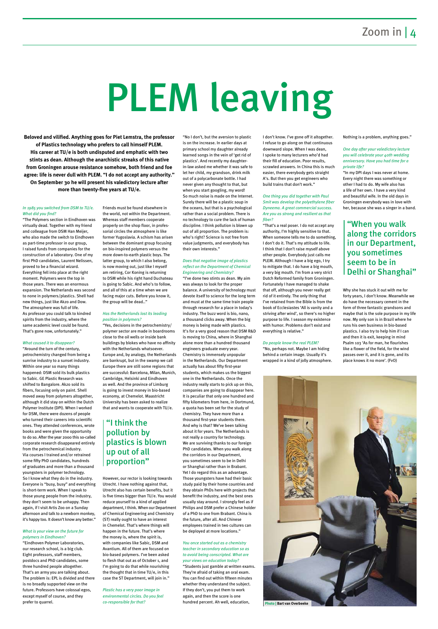# PLEM leaving

#### *In 1985 you switched from DSM to TU/e. What did you find?*

"The Polymers section in Eindhoven was virtually dead. Together with my friend and colleague from DSM Han Meijer, who also made the switch to Eindhoven as part-time professor in our group, I raised funds from companies for the construction of a laboratory. One of my first PhD candidates, Laurent Nelissen, proved to be a financial wizard. Everything fell into place at the right moment. Polymers were the top in those years. There was an enormous expansion. The Netherlands was second to none in polymers/plastics. Shell had new things, just like Akzo and Dow. The atmosphere was full of life. As professor you could talk to kindred spirits from the industry, where the same academic level could be found. That's gone now, unfortunately."

#### *What caused it to disappear?*

"Around the turn of the century, petrochemistry changed from being a sunrise industry to a sunset industry. Within one year so many things happened: DSM sold its bulk plastics to Sabic. GE Plastic Research was shifted to Bangalore. Akzo sold its fibers, focusing only on paint. Shell moved away from polymers altogether, although it did stay on within the Dutch Polymer Institute (DPI). When I worked for DSM, there were dozens of people who turned their careers into scientific ones. They attended conferences, wrote books and were given the opportunity to do so. After the year 2000 this so-called corporate research disappeared entirely from the petrochemical industry. Via courses I trained and/or retrained some fifty PhD candidates, hundreds of graduates and more than a thousand youngsters in polymer technology.

So I know what they do in the industry.

Everyone is "busy, busy" and everything is short-term work. When I speak to those young people from the industry, they don't seem to be unhappy. Then again, if I visit Artis Zoo on a Sunday afternoon and talk to a newborn monkey, it's happy too. It doesn't know any better."

#### *What is your view on the future for polymers in Eindhoven?*

"Eindhoven Polymer Laboratories, our research school, is a big club. Eight professors, staff members, postdocs and PhD candidates, some three hundred people altogether. That's an army you are talking about. The problem is: EPL is divided and there is no broadly supported view on the future. Professors have colossal egos, except myself of course, and they prefer to quarrel.

Friends must be found elsewhere in the world, not within the Department. Whereas staff members cooperate properly on the shop floor, in professorial circles the atmosphere is like former Yugoslavia. A schism has arisen between the dominant group focusing on bio-inspired polymers versus the more down-to-earth plastic boys. The latter group, to which I also belong, is now moving out, just like I myself am retiring, Cor Koning is returning to DSM while his right hand Duchateau is going to Sabic. And who's to follow, and all of this at a time when we are facing major cuts. Before you know it, the group will be dead.."

#### *Has the Netherlands lost its leading position in polymers?*

Yet I do regard this as an advantage. Those youngsters have had their basic

"Yes, decisions in the petrochemistry/ polymer sector are made in boardrooms close to the oil wells or inside bank buildings by blokes who have no affinity with the Netherlands whatsoever. Europe and, by analogy, the Netherlands are bankrupt, but in the swamp we call Europe there are still some regions that are successful: Barcelona, Milan, Munich, Cambridge, Helsinki and Eindhoven as well. And the province of Limburg is going to invest money in bio-based economy, at Chemelot. Maastricht University has been asked to realize that and wants to cooperate with TU/e.

However, our rector is looking towards

Utrecht. I have nothing against that, Utrecht also has certain benefits, but it is five times bigger than TU/e. You would reduce yourself to a kind of applied department, I think. When our Department of Chemical Engineering and Chemistry (ST) really ought to have an interest in Chemelot. That's where things will happen in the future. That's where the money is, where the spirit is, with companies like Sabic, DSM and Avantium. All of them are focused on bio-based polymers. I've been asked to flesh that out as of October 1, and I'm going to do that while nourishing the thought that in time TU/e, in this case the ST Department, will join in."

*Plastic has a very poor image in environmental circles. Do you feel co-responsible for that?*

"No I don't, but the aversion to plastic is on the increase. In earlier days at primary school my daughter already learned songs in the vein of 'get rid of plastics'. And recently my daughterin-law asked me whether it was safe to let her child, my grandson, drink milk out of a polycarbonate bottle. I had never given any thought to that, but when you start googling, my word! So much noise is made on the Internet. Surely there will be a plastic soup in the oceans, but that is a psychological rather than a social problem. There is no technology to cure the lack of human discipline. I think pollution is blown up out of all proportion. The problem is: who's right? Science is not free from value judgments, and everybody has their own interests."

#### *Does that negative image of plastics reflect on the Department of Chemical Engineering and Chemistry?*

"I've done two stints as dean. My aim was always to look for the proper balance. A university of technology must devote itself to science for the long term and must at the same time train people through research for a place in today's industry. The buzz word is bio, nano, a thousand clicks away. When the big money is being made with plastics. It's for a very good reason that DSM R&D is moving to China, where in Shanghai alone more than a hundred thousand engineers graduate every year. Chemistry is immensely unpopular in the Netherlands. Our Department actually has about fifty first-year students, which makes us the biggest one in the Netherlands. Once the industry really starts to pick up on this, companies are going to disappear here. It is peculiar that only one hundred and fifty kilometers from here, in Dortmund, a quota has been set for the study of chemistry. They have more than a thousand first-year students there. And why is that? We've been talking about it for years. The Netherlands is not really a country for technology. We are surviving thanks to our foreign PhD candidates. When you walk along the corridors in our Department, you sometimes seem to be in Delhi or Shanghai rather than in Brabant.

study paid by their home countries and they obtain PhDs here with projects that benefit the industry, and the best ones usually stay around. I strongly feel as if Philips and DSM prefer a Chinese holder of a PhD to one from Brabant. China is the future, after all. And Chinese employees trained in two cultures can be deployed at more locations."

#### *You once started out as a chemistry teacher in secondary education so as to avoid being conscripted. What are your views on education today?*

"Students just gamble at written exams. They're afraid of taking an oral exam. You can find out within fifteen minutes whether they understand the subject. If they don't, you put them to work again, and then the score is one hundred percent. Ah well, education,

I don't know. I've gone off it altogether. I refuse to go along on that continuous downward slope. When I was dean, I spoke to many lecturers who'd had their fill of education. Poor results, scrawled answers. In China this is much easier, there everybody gets straight A's. But then you get engineers who build trains that don't work."

#### *One thing you did together with Paul Smit was develop the polyethylene fiber Dyneema. A great commercial success. Are you as strong and resilient as that fiber?*

"That's a real poser. I do not accept any authority, I'm highly sensitive to that. When someone tells me to do something, I don't do it. That's my attitude to life. I think that I don't raise myself above other people. Everybody just calls me PLEM. Although I have a big ego, I try to mitigate that. I do have a big mouth, a very big mouth. I'm from a very strict Dutch Reformed family from Groningen. Fortunately I have managed to shake that off, although you never really get rid of it entirely. The only thing that I've retained from the Bible is from the book of Ecclesiastes 'All is vanity and a striving after wind', so there's no higher purpose to life. I season my existence with humor. Problems don't exist and everything is relative."

#### *Do people know the real PLEM?*

"No, perhaps not. Maybe I am hiding behind a certain image. Usually it's wrapped in a kind of jolly atmosphere. Nothing is a problem, anything goes."

#### *One day after your valedictory lecture you will celebrate your 40th wedding anniversary. Have you had time for a private life?*

"In my DPI days I was never at home. Every night there was something or other I had to do. My wife also has a life of her own. I have a very kind and beautiful wife. In the old days in Groningen everybody was in love with her, because she was a singer in a band.

Why she has stuck it out with me for forty years, I don't know. Meanwhile we do have the necessary cement in the form of three fantastic grandsons and maybe that is the sole purpose in my life now. My only son is in Brazil where he runs his own business in bio-based plastics. I also try to help him if I can and then it is exit, keeping in mind Psalm 103 'As for man, he flourishes like a flower of the field, for the wind passes over it, and it is gone, and its place knows it no more'. (FvO)

**Beloved and vilified. Anything goes for Piet Lemstra, the professor of Plastics technology who prefers to call himself PLEM. His career at TU/e is both undisputed and emphatic with two stints as dean. Although the anarchistic streaks of this native from Groningen arouse resistance somehow, both friend and foe agree: life is never dull with PLEM. "I do not accept any authority." On September 30 he will present his valedictory lecture after more than twenty-five years at TU/e.**

### "I think the pollution by plastics is blown up out of all proportion"

### "When you walk along the corridors in our Department, you sometimes seem to be in Delhi or Shanghai"